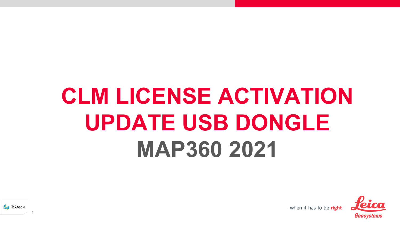# **CLM LICENSE ACTIVATION UPDATE USB DONGLE MAP360 2021**



- when it has to be right

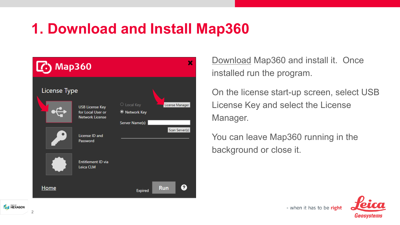## **1. Download and Install Map360**



[Download](http://help.leicaims.com/index.php?/Knowledgebase/Article/View/1/0/leica-geosystems-incident-mapping-suite-release-history#mps) Map360 and install it. Once installed run the program.

On the license start-up screen, select USB License Key and select the License Manager.

- when it has to be right

You can leave Map360 running in the background or close it.





 $\overline{2}$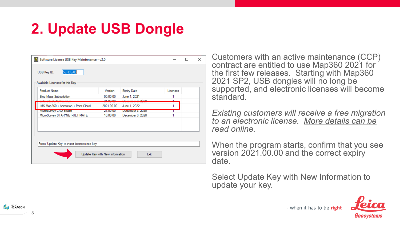# **2. Update USB Dongle**

| Available Licenses for this Key<br><b>Product Name</b>         | Version              | <b>Expiry Date</b>                          | Licenses |  |
|----------------------------------------------------------------|----------------------|---------------------------------------------|----------|--|
|                                                                |                      |                                             |          |  |
| <b>Bing Maps Subscription</b><br><del>mbeddedCAD Premium</del> | 00.00.00<br>31.00.00 | June 1, 2021<br><del>lecember 3, 2020</del> |          |  |
| IMS Map360 + Animation + Point Cloud                           | 2021.00.00           | June 1, 2022                                |          |  |
| <b>MICroSurvey CAD Studio</b>                                  | 21.00.00             | December 3, 2020                            |          |  |
| MicroSurvey STAR*NET-ULTIMATE                                  | 10.00.00             | December 3, 2020                            |          |  |
|                                                                |                      |                                             |          |  |
|                                                                |                      |                                             |          |  |
|                                                                |                      |                                             |          |  |

Customers with an active maintenance (CCP) contract are entitled to use Map360 2021 for the first few releases. Starting with Map360 2021 SP2, USB dongles will no long be supported, and electronic licenses will become standard.

*Existing customers will receive a free migration [to an electronic license. More details can be](http://help.leicaims.com/index.php?/Knowledgebase/Article/View/127/3/map360-2021-migration-from-usb-dongles-to-leica-clm-eids)  read online.*

When the program starts, confirm that you see version 2021.00.00 and the correct expiry date.

Select Update Key with New Information to update your key.



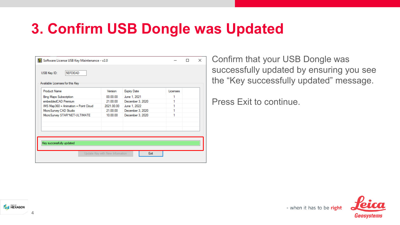### **3. Confirm USB Dongle was Updated**

| <b>Product Name</b>                  | Version    | <b>Expiry Date</b> | Licenses |  |
|--------------------------------------|------------|--------------------|----------|--|
| <b>Bing Maps Subscription</b>        | 00.00.00   | June 1, 2021       |          |  |
| embeddedCAD Premium                  | 21.00.00   | December 3, 2020   | 1        |  |
| IMS Map360 + Animation + Point Cloud | 2021.00.00 | June 1, 2022       |          |  |
| MicroSurvey CAD Studio               | 21.00.00   | December 3, 2020   | 1        |  |
| MicroSurvey STAR*NET-ULTIMATE        | 10.00.00   | December 3, 2020   | 1        |  |
|                                      |            |                    |          |  |

4

**A HEXAGON** 

Confirm that your USB Dongle was successfully updated by ensuring you see the "Key successfully updated" message.

Press Exit to continue.



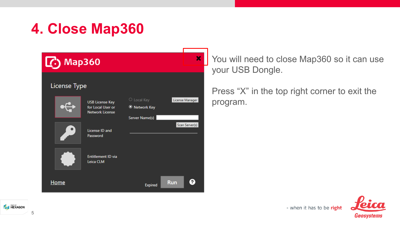# **4. Close Map360**

| l G                 | <b>Map360</b>                                                         | ×                                                                              |  |
|---------------------|-----------------------------------------------------------------------|--------------------------------------------------------------------------------|--|
| <b>License Type</b> |                                                                       |                                                                                |  |
|                     | <b>USB License Key</b><br>for Local User or<br><b>Network License</b> | $\circ$ Local Key<br>License Manager<br><b>O</b> Network Key<br>Server Name(s) |  |
|                     | License ID and<br>Password                                            | Scan Server(s)                                                                 |  |
|                     | <b>Entitlement ID via</b><br>Leica CLM                                |                                                                                |  |
| Home                |                                                                       | 2<br><b>Run</b><br><b>Expired</b>                                              |  |

You will need to close Map360 so it can use your USB Dongle.

Press "X" in the top right corner to exit the program.

- when it has to be right



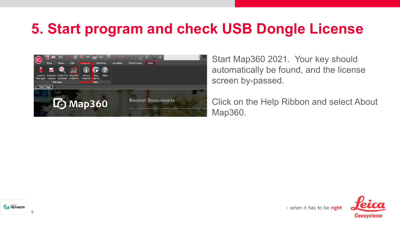## **5. Start program and check USB Dongle License**



Start Map360 2021. Your key should automatically be found, and the license screen by-passed.

Click on the Help Ribbon and select About Map360.